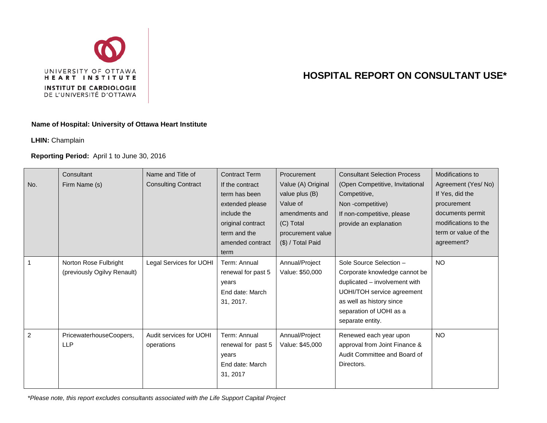

## **HOSPITAL REPORT ON CONSULTANT USE\***

## **Name of Hospital: University of Ottawa Heart Institute**

**LHIN:** Champlain

## **Reporting Period:** April 1 to June 30, 2016

| No.            | Consultant<br>Firm Name (s)                          | Name and Title of<br><b>Consulting Contract</b> | <b>Contract Term</b><br>If the contract<br>term has been<br>extended please<br>include the<br>original contract<br>term and the<br>amended contract<br>term | <b>Procurement</b><br>Value (A) Original<br>value plus (B)<br>Value of<br>amendments and<br>(C) Total<br>procurement value<br>(\$) / Total Paid | <b>Consultant Selection Process</b><br>(Open Competitive, Invitational<br>Competitive,<br>Non-competitive)<br>If non-competitive, please<br>provide an explanation                                 | Modifications to<br>Agreement (Yes/No)<br>If Yes, did the<br>procurement<br>documents permit<br>modifications to the<br>term or value of the<br>agreement? |
|----------------|------------------------------------------------------|-------------------------------------------------|-------------------------------------------------------------------------------------------------------------------------------------------------------------|-------------------------------------------------------------------------------------------------------------------------------------------------|----------------------------------------------------------------------------------------------------------------------------------------------------------------------------------------------------|------------------------------------------------------------------------------------------------------------------------------------------------------------|
| $\overline{1}$ | Norton Rose Fulbright<br>(previously Ogilvy Renault) | Legal Services for UOHI                         | Term: Annual<br>renewal for past 5<br>years<br>End date: March<br>31, 2017.                                                                                 | Annual/Project<br>Value: \$50,000                                                                                                               | Sole Source Selection -<br>Corporate knowledge cannot be<br>duplicated - involvement with<br>UOHI/TOH service agreement<br>as well as history since<br>separation of UOHI as a<br>separate entity. | <b>NO</b>                                                                                                                                                  |
| 2              | PricewaterhouseCoopers,<br><b>LLP</b>                | Audit services for UOHI<br>operations           | Term: Annual<br>renewal for past 5<br>years<br>End date: March<br>31, 2017                                                                                  | Annual/Project<br>Value: \$45,000                                                                                                               | Renewed each year upon<br>approval from Joint Finance &<br>Audit Committee and Board of<br>Directors.                                                                                              | <b>NO</b>                                                                                                                                                  |

*\*Please note, this report excludes consultants associated with the Life Support Capital Project*